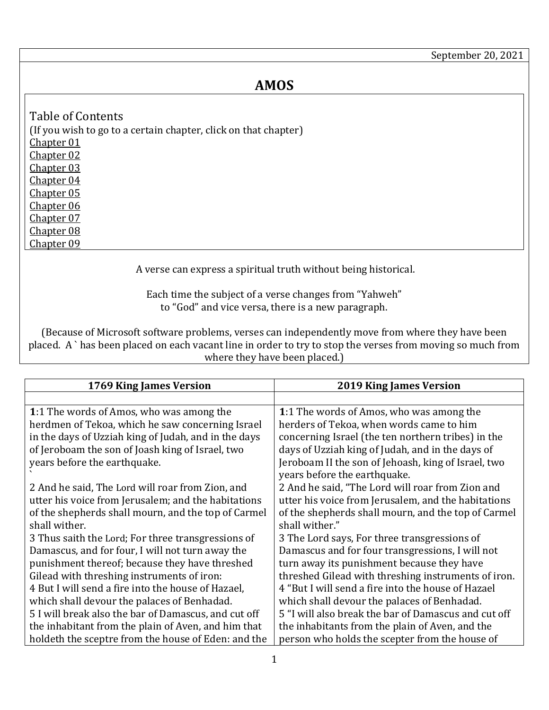## **AMOS**

<span id="page-0-7"></span><span id="page-0-6"></span><span id="page-0-5"></span><span id="page-0-4"></span><span id="page-0-3"></span><span id="page-0-2"></span><span id="page-0-1"></span>

| Table of Contents                                               |
|-----------------------------------------------------------------|
| (If you wish to go to a certain chapter, click on that chapter) |
| <b>Chapter 01</b>                                               |
| Chapter 02                                                      |
| Chapter 03                                                      |
| <b>Chapter 04</b>                                               |
| Chapter 05                                                      |
| Chapter 06                                                      |
| Chapter 07                                                      |
| Chapter 08                                                      |
| Chapter 09                                                      |

A verse can express a spiritual truth without being historical.

Each time the subject of a verse changes from "Yahweh" to "God" and vice versa, there is a new paragraph.

<span id="page-0-9"></span><span id="page-0-8"></span>(Because of Microsoft software problems, verses can independently move from where they have been placed. A ` has been placed on each vacant line in order to try to stop the verses from moving so much from where they have been placed.)

<span id="page-0-0"></span>

| 1769 King James Version                              | <b>2019 King James Version</b>                       |
|------------------------------------------------------|------------------------------------------------------|
|                                                      |                                                      |
| 1:1 The words of Amos, who was among the             | 1:1 The words of Amos, who was among the             |
| herdmen of Tekoa, which he saw concerning Israel     | herders of Tekoa, when words came to him             |
| in the days of Uzziah king of Judah, and in the days | concerning Israel (the ten northern tribes) in the   |
| of Jeroboam the son of Joash king of Israel, two     | days of Uzziah king of Judah, and in the days of     |
| years before the earthquake.                         | Jeroboam II the son of Jehoash, king of Israel, two  |
|                                                      | years before the earthquake.                         |
| 2 And he said, The Lord will roar from Zion, and     | 2 And he said, "The Lord will roar from Zion and     |
| utter his voice from Jerusalem; and the habitations  | utter his voice from Jerusalem, and the habitations  |
| of the shepherds shall mourn, and the top of Carmel  | of the shepherds shall mourn, and the top of Carmel  |
| shall wither.                                        | shall wither."                                       |
| 3 Thus saith the Lord; For three transgressions of   | 3 The Lord says, For three transgressions of         |
| Damascus, and for four, I will not turn away the     | Damascus and for four transgressions, I will not     |
| punishment thereof; because they have threshed       | turn away its punishment because they have           |
| Gilead with threshing instruments of iron:           | threshed Gilead with threshing instruments of iron.  |
| 4 But I will send a fire into the house of Hazael,   | 4 "But I will send a fire into the house of Hazael   |
| which shall devour the palaces of Benhadad.          | which shall devour the palaces of Benhadad.          |
| 5 I will break also the bar of Damascus, and cut off | 5 "I will also break the bar of Damascus and cut off |
| the inhabitant from the plain of Aven, and him that  | the inhabitants from the plain of Aven, and the      |
| holdeth the sceptre from the house of Eden: and the  | person who holds the scepter from the house of       |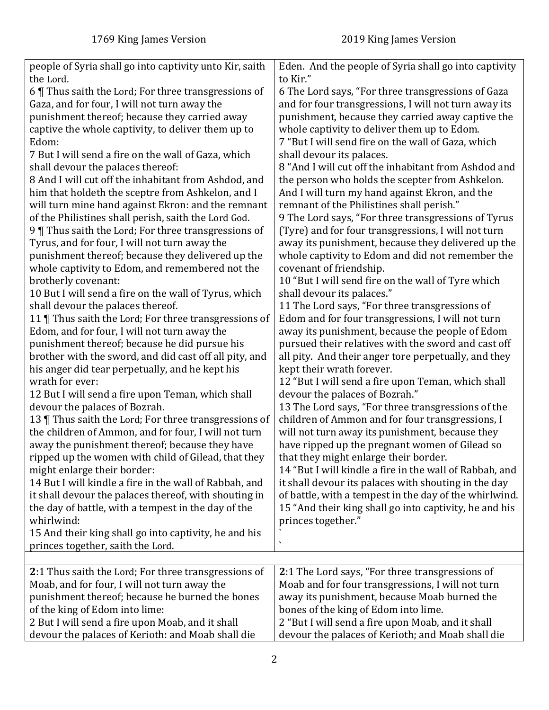<span id="page-1-0"></span>

| people of Syria shall go into captivity unto Kir, saith<br>the Lord. | Eden. And the people of Syria shall go into captivity<br>to Kir." |
|----------------------------------------------------------------------|-------------------------------------------------------------------|
|                                                                      |                                                                   |
| 6 Thus saith the Lord; For three transgressions of                   | 6 The Lord says, "For three transgressions of Gaza                |
| Gaza, and for four, I will not turn away the                         | and for four transgressions, I will not turn away its             |
| punishment thereof; because they carried away                        | punishment, because they carried away captive the                 |
| captive the whole captivity, to deliver them up to                   | whole captivity to deliver them up to Edom.                       |
| Edom:                                                                | 7 "But I will send fire on the wall of Gaza, which                |
| 7 But I will send a fire on the wall of Gaza, which                  | shall devour its palaces.                                         |
| shall devour the palaces thereof:                                    | 8 "And I will cut off the inhabitant from Ashdod and              |
| 8 And I will cut off the inhabitant from Ashdod, and                 | the person who holds the scepter from Ashkelon.                   |
| him that holdeth the sceptre from Ashkelon, and I                    | And I will turn my hand against Ekron, and the                    |
| will turn mine hand against Ekron: and the remnant                   | remnant of the Philistines shall perish."                         |
| of the Philistines shall perish, saith the Lord God.                 | 9 The Lord says, "For three transgressions of Tyrus               |
| 9 Thus saith the Lord; For three transgressions of                   | (Tyre) and for four transgressions, I will not turn               |
| Tyrus, and for four, I will not turn away the                        | away its punishment, because they delivered up the                |
| punishment thereof; because they delivered up the                    | whole captivity to Edom and did not remember the                  |
| whole captivity to Edom, and remembered not the                      | covenant of friendship.                                           |
| brotherly covenant:                                                  | 10 "But I will send fire on the wall of Tyre which                |
| 10 But I will send a fire on the wall of Tyrus, which                | shall devour its palaces."                                        |
| shall devour the palaces thereof.                                    | 11 The Lord says, "For three transgressions of                    |
| 11   Thus saith the Lord; For three transgressions of                | Edom and for four transgressions, I will not turn                 |
| Edom, and for four, I will not turn away the                         | away its punishment, because the people of Edom                   |
| punishment thereof; because he did pursue his                        | pursued their relatives with the sword and cast off               |
| brother with the sword, and did cast off all pity, and               | all pity. And their anger tore perpetually, and they              |
| his anger did tear perpetually, and he kept his                      | kept their wrath forever.                                         |
| wrath for ever:                                                      | 12 "But I will send a fire upon Teman, which shall                |
| 12 But I will send a fire upon Teman, which shall                    | devour the palaces of Bozrah."                                    |
| devour the palaces of Bozrah.                                        | 13 The Lord says, "For three transgressions of the                |
| 13   Thus saith the Lord; For three transgressions of                | children of Ammon and for four transgressions, I                  |
| the children of Ammon, and for four, I will not turn                 | will not turn away its punishment, because they                   |
| away the punishment thereof; because they have                       |                                                                   |
|                                                                      | have ripped up the pregnant women of Gilead so                    |
| ripped up the women with child of Gilead, that they                  | that they might enlarge their border.                             |
| might enlarge their border:                                          | 14 "But I will kindle a fire in the wall of Rabbah, and           |
| 14 But I will kindle a fire in the wall of Rabbah, and               | it shall devour its palaces with shouting in the day              |
| it shall devour the palaces thereof, with shouting in                | of battle, with a tempest in the day of the whirlwind.            |
| the day of battle, with a tempest in the day of the                  | 15 "And their king shall go into captivity, he and his            |
| whirlwind:                                                           | princes together."                                                |
| 15 And their king shall go into captivity, he and his                | ↖                                                                 |
| princes together, saith the Lord.                                    |                                                                   |
|                                                                      |                                                                   |
| 2:1 Thus saith the Lord; For three transgressions of                 | 2:1 The Lord says, "For three transgressions of                   |
| Moab, and for four, I will not turn away the                         | Moab and for four transgressions, I will not turn                 |
| punishment thereof; because he burned the bones                      | away its punishment, because Moab burned the                      |
| of the king of Edom into lime:                                       | bones of the king of Edom into lime.                              |
| 2 But I will send a fire upon Moab, and it shall                     | 2 "But I will send a fire upon Moab, and it shall                 |
| devour the palaces of Kerioth: and Moab shall die                    | devour the palaces of Kerioth; and Moab shall die                 |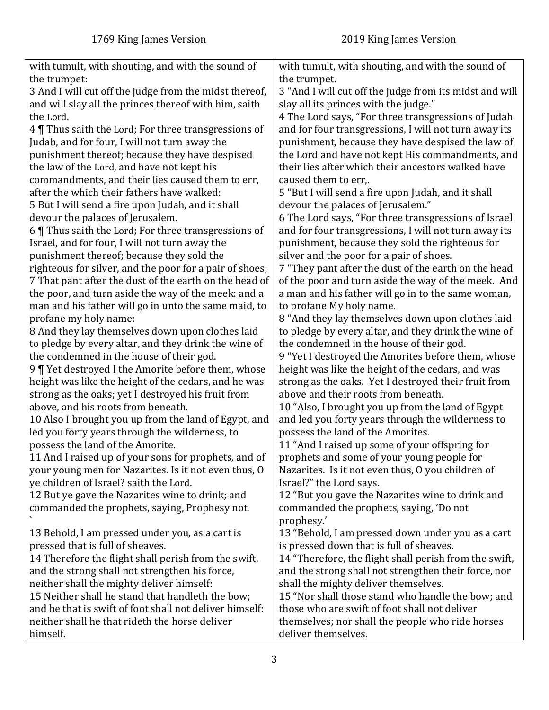| with tumult, with shouting, and with the sound of       | with tumult, with shouting, and with the sound of       |
|---------------------------------------------------------|---------------------------------------------------------|
| the trumpet:                                            | the trumpet.                                            |
| 3 And I will cut off the judge from the midst thereof,  | 3 "And I will cut off the judge from its midst and will |
| and will slay all the princes thereof with him, saith   | slay all its princes with the judge."                   |
| the Lord.                                               | 4 The Lord says, "For three transgressions of Judah     |
| 4 Thus saith the Lord; For three transgressions of      | and for four transgressions, I will not turn away its   |
| Judah, and for four, I will not turn away the           | punishment, because they have despised the law of       |
| punishment thereof; because they have despised          | the Lord and have not kept His commandments, and        |
| the law of the Lord, and have not kept his              | their lies after which their ancestors walked have      |
|                                                         |                                                         |
| commandments, and their lies caused them to err,        | caused them to err,.                                    |
| after the which their fathers have walked:              | 5 "But I will send a fire upon Judah, and it shall      |
| 5 But I will send a fire upon Judah, and it shall       | devour the palaces of Jerusalem."                       |
| devour the palaces of Jerusalem.                        | 6 The Lord says, "For three transgressions of Israel    |
| 6 Thus saith the Lord; For three transgressions of      | and for four transgressions, I will not turn away its   |
| Israel, and for four, I will not turn away the          | punishment, because they sold the righteous for         |
| punishment thereof; because they sold the               | silver and the poor for a pair of shoes.                |
| righteous for silver, and the poor for a pair of shoes; | 7 "They pant after the dust of the earth on the head    |
| 7 That pant after the dust of the earth on the head of  | of the poor and turn aside the way of the meek. And     |
| the poor, and turn aside the way of the meek: and a     | a man and his father will go in to the same woman,      |
| man and his father will go in unto the same maid, to    | to profane My holy name.                                |
| profane my holy name:                                   | 8 "And they lay themselves down upon clothes laid       |
| 8 And they lay themselves down upon clothes laid        | to pledge by every altar, and they drink the wine of    |
| to pledge by every altar, and they drink the wine of    | the condemned in the house of their god.                |
| the condemned in the house of their god.                | 9 "Yet I destroyed the Amorites before them, whose      |
| 9   Yet destroyed I the Amorite before them, whose      | height was like the height of the cedars, and was       |
| height was like the height of the cedars, and he was    | strong as the oaks. Yet I destroyed their fruit from    |
| strong as the oaks; yet I destroyed his fruit from      | above and their roots from beneath.                     |
| above, and his roots from beneath.                      | 10 "Also, I brought you up from the land of Egypt       |
| 10 Also I brought you up from the land of Egypt, and    | and led you forty years through the wilderness to       |
| led you forty years through the wilderness, to          | possess the land of the Amorites.                       |
| possess the land of the Amorite.                        | 11 "And I raised up some of your offspring for          |
| 11 And I raised up of your sons for prophets, and of    | prophets and some of your young people for              |
| your young men for Nazarites. Is it not even thus, O    | Nazarites. Is it not even thus, O you children of       |
| ye children of Israel? saith the Lord.                  | Israel?" the Lord says.                                 |
| 12 But ye gave the Nazarites wine to drink; and         | 12 "But you gave the Nazarites wine to drink and        |
| commanded the prophets, saying, Prophesy not.           | commanded the prophets, saying, 'Do not                 |
|                                                         | prophesy.'                                              |
| 13 Behold, I am pressed under you, as a cart is         | 13 "Behold, I am pressed down under you as a cart       |
| pressed that is full of sheaves.                        | is pressed down that is full of sheaves.                |
| 14 Therefore the flight shall perish from the swift,    | 14 "Therefore, the flight shall perish from the swift,  |
| and the strong shall not strengthen his force,          | and the strong shall not strengthen their force, nor    |
| neither shall the mighty deliver himself:               | shall the mighty deliver themselves.                    |
| 15 Neither shall he stand that handleth the bow;        | 15 "Nor shall those stand who handle the bow; and       |
| and he that is swift of foot shall not deliver himself: | those who are swift of foot shall not deliver           |
| neither shall he that rideth the horse deliver          | themselves; nor shall the people who ride horses        |
| himself.                                                | deliver themselves.                                     |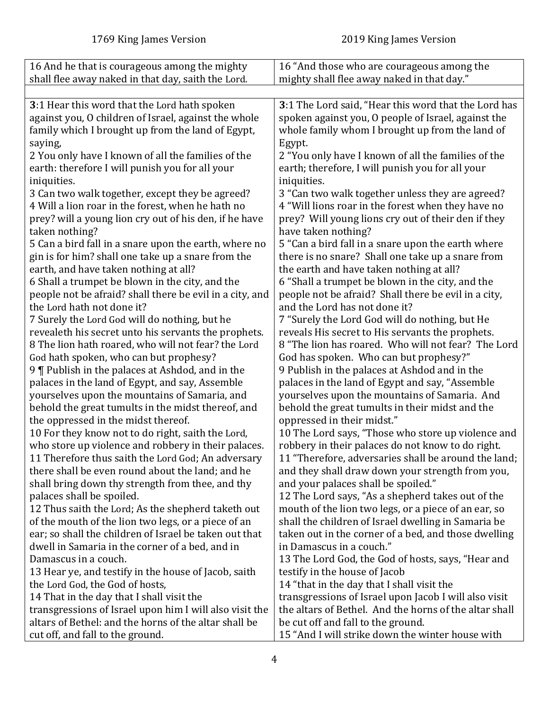<span id="page-3-0"></span>

| 16 And he that is courageous among the mighty                                                                    | 16 "And those who are courageous among the                                                                      |
|------------------------------------------------------------------------------------------------------------------|-----------------------------------------------------------------------------------------------------------------|
| shall flee away naked in that day, saith the Lord.                                                               | mighty shall flee away naked in that day."                                                                      |
|                                                                                                                  |                                                                                                                 |
| 3:1 Hear this word that the Lord hath spoken                                                                     | 3:1 The Lord said, "Hear this word that the Lord has                                                            |
| against you, O children of Israel, against the whole                                                             | spoken against you, O people of Israel, against the                                                             |
| family which I brought up from the land of Egypt,                                                                | whole family whom I brought up from the land of                                                                 |
| saying,                                                                                                          | Egypt.                                                                                                          |
| 2 You only have I known of all the families of the                                                               | 2 "You only have I known of all the families of the                                                             |
| earth: therefore I will punish you for all your                                                                  | earth; therefore, I will punish you for all your                                                                |
| iniquities.                                                                                                      | iniquities.                                                                                                     |
| 3 Can two walk together, except they be agreed?                                                                  | 3 "Can two walk together unless they are agreed?                                                                |
| 4 Will a lion roar in the forest, when he hath no                                                                | 4 "Will lions roar in the forest when they have no                                                              |
| prey? will a young lion cry out of his den, if he have                                                           | prey? Will young lions cry out of their den if they                                                             |
| taken nothing?                                                                                                   | have taken nothing?                                                                                             |
| 5 Can a bird fall in a snare upon the earth, where no                                                            | 5 "Can a bird fall in a snare upon the earth where                                                              |
| gin is for him? shall one take up a snare from the                                                               | there is no snare? Shall one take up a snare from                                                               |
| earth, and have taken nothing at all?                                                                            | the earth and have taken nothing at all?                                                                        |
| 6 Shall a trumpet be blown in the city, and the                                                                  | 6 "Shall a trumpet be blown in the city, and the                                                                |
| people not be afraid? shall there be evil in a city, and                                                         | people not be afraid? Shall there be evil in a city,                                                            |
| the Lord hath not done it?                                                                                       | and the Lord has not done it?                                                                                   |
| 7 Surely the Lord God will do nothing, but he                                                                    | 7 "Surely the Lord God will do nothing, but He                                                                  |
| revealeth his secret unto his servants the prophets.                                                             | reveals His secret to His servants the prophets.                                                                |
| 8 The lion hath roared, who will not fear? the Lord                                                              | 8 "The lion has roared. Who will not fear? The Lord                                                             |
| God hath spoken, who can but prophesy?                                                                           | God has spoken. Who can but prophesy?"                                                                          |
| 9   Publish in the palaces at Ashdod, and in the                                                                 | 9 Publish in the palaces at Ashdod and in the                                                                   |
| palaces in the land of Egypt, and say, Assemble                                                                  | palaces in the land of Egypt and say, "Assemble                                                                 |
| yourselves upon the mountains of Samaria, and                                                                    | yourselves upon the mountains of Samaria. And                                                                   |
| behold the great tumults in the midst thereof, and                                                               | behold the great tumults in their midst and the                                                                 |
| the oppressed in the midst thereof.                                                                              | oppressed in their midst."                                                                                      |
| 10 For they know not to do right, saith the Lord,                                                                | 10 The Lord says, "Those who store up violence and                                                              |
| who store up violence and robbery in their palaces.                                                              | robbery in their palaces do not know to do right.                                                               |
| 11 Therefore thus saith the Lord God; An adversary                                                               | 11 "Therefore, adversaries shall be around the land;                                                            |
| there shall be even round about the land; and he                                                                 | and they shall draw down your strength from you,                                                                |
| shall bring down thy strength from thee, and thy                                                                 | and your palaces shall be spoiled."                                                                             |
| palaces shall be spoiled.                                                                                        | 12 The Lord says, "As a shepherd takes out of the                                                               |
| 12 Thus saith the Lord; As the shepherd taketh out                                                               | mouth of the lion two legs, or a piece of an ear, so                                                            |
| of the mouth of the lion two legs, or a piece of an                                                              | shall the children of Israel dwelling in Samaria be                                                             |
| ear; so shall the children of Israel be taken out that                                                           | taken out in the corner of a bed, and those dwelling                                                            |
| dwell in Samaria in the corner of a bed, and in                                                                  | in Damascus in a couch."                                                                                        |
| Damascus in a couch.                                                                                             | 13 The Lord God, the God of hosts, says, "Hear and                                                              |
| 13 Hear ye, and testify in the house of Jacob, saith                                                             | testify in the house of Jacob                                                                                   |
| the Lord God, the God of hosts,                                                                                  | 14 "that in the day that I shall visit the                                                                      |
| 14 That in the day that I shall visit the                                                                        | transgressions of Israel upon Jacob I will also visit<br>the altars of Bethel. And the horns of the altar shall |
| transgressions of Israel upon him I will also visit the<br>altars of Bethel: and the horns of the altar shall be |                                                                                                                 |
|                                                                                                                  | be cut off and fall to the ground.                                                                              |
| cut off, and fall to the ground.                                                                                 | 15 "And I will strike down the winter house with                                                                |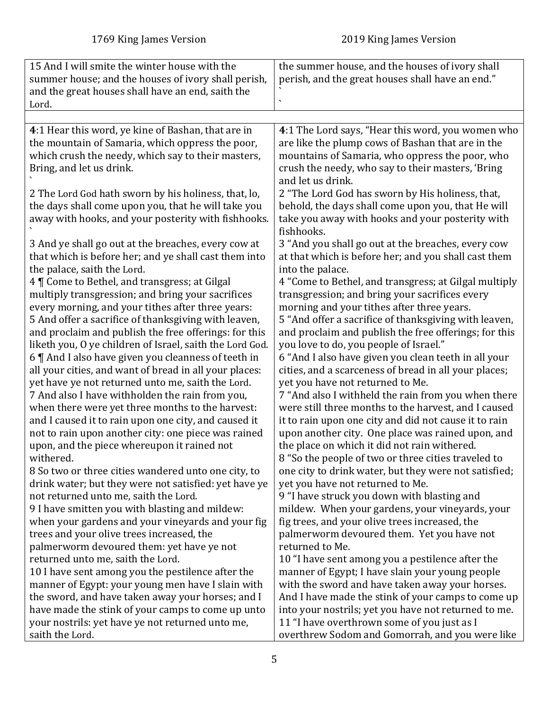<span id="page-4-0"></span>

| 15 And I will smite the winter house with the            | the summer house, and the houses of ivory shall                |
|----------------------------------------------------------|----------------------------------------------------------------|
| summer house; and the houses of ivory shall perish,      | perish, and the great houses shall have an end."               |
| and the great houses shall have an end, saith the        |                                                                |
| Lord.                                                    |                                                                |
|                                                          |                                                                |
| 4:1 Hear this word, ye kine of Bashan, that are in       | 4:1 The Lord says, "Hear this word, you women who              |
| the mountain of Samaria, which oppress the poor,         | are like the plump cows of Bashan that are in the              |
| which crush the needy, which say to their masters,       | mountains of Samaria, who oppress the poor, who                |
| Bring, and let us drink.                                 | crush the needy, who say to their masters, 'Bring              |
|                                                          | and let us drink.                                              |
| 2 The Lord God hath sworn by his holiness, that, lo,     | 2 "The Lord God has sworn by His holiness, that,               |
| the days shall come upon you, that he will take you      | behold, the days shall come upon you, that He will             |
| away with hooks, and your posterity with fishhooks.      | take you away with hooks and your posterity with<br>fishhooks. |
| 3 And ye shall go out at the breaches, every cow at      | 3 "And you shall go out at the breaches, every cow             |
| that which is before her; and ye shall cast them into    | at that which is before her; and you shall cast them           |
| the palace, saith the Lord.                              | into the palace.                                               |
| 4 ¶ Come to Bethel, and transgress; at Gilgal            | 4 "Come to Bethel, and transgress; at Gilgal multiply          |
| multiply transgression; and bring your sacrifices        | transgression; and bring your sacrifices every                 |
| every morning, and your tithes after three years:        | morning and your tithes after three years.                     |
| 5 And offer a sacrifice of thanksgiving with leaven,     | 5 "And offer a sacrifice of thanksgiving with leaven,          |
| and proclaim and publish the free offerings: for this    | and proclaim and publish the free offerings; for this          |
| liketh you, O ye children of Israel, saith the Lord God. | you love to do, you people of Israel."                         |
| 6    And I also have given you cleanness of teeth in     | 6 "And I also have given you clean teeth in all your           |
| all your cities, and want of bread in all your places:   | cities, and a scarceness of bread in all your places;          |
| yet have ye not returned unto me, saith the Lord.        | yet you have not returned to Me.                               |
| 7 And also I have withholden the rain from you,          | 7 "And also I withheld the rain from you when there            |
| when there were yet three months to the harvest:         | were still three months to the harvest, and I caused           |
| and I caused it to rain upon one city, and caused it     | it to rain upon one city and did not cause it to rain          |
| not to rain upon another city: one piece was rained      | upon another city. One place was rained upon, and              |
| upon, and the piece whereupon it rained not              | the place on which it did not rain withered.                   |
| withered.                                                | 8 "So the people of two or three cities traveled to            |
| 8 So two or three cities wandered unto one city, to      | one city to drink water, but they were not satisfied;          |
| drink water; but they were not satisfied: yet have ye    | yet you have not returned to Me.                               |
| not returned unto me, saith the Lord.                    | 9 "I have struck you down with blasting and                    |
| 9 I have smitten you with blasting and mildew:           | mildew. When your gardens, your vineyards, your                |
| when your gardens and your vineyards and your fig        | fig trees, and your olive trees increased, the                 |
| trees and your olive trees increased, the                | palmerworm devoured them. Yet you have not                     |
| palmerworm devoured them: yet have ye not                | returned to Me.                                                |
| returned unto me, saith the Lord.                        | 10 "I have sent among you a pestilence after the               |
| 10 I have sent among you the pestilence after the        | manner of Egypt; I have slain your young people                |
| manner of Egypt: your young men have I slain with        | with the sword and have taken away your horses.                |
| the sword, and have taken away your horses; and I        | And I have made the stink of your camps to come up             |
| have made the stink of your camps to come up unto        | into your nostrils; yet you have not returned to me.           |
| your nostrils: yet have ye not returned unto me,         | 11 "I have overthrown some of you just as I                    |
| saith the Lord.                                          | overthrew Sodom and Gomorrah, and you were like                |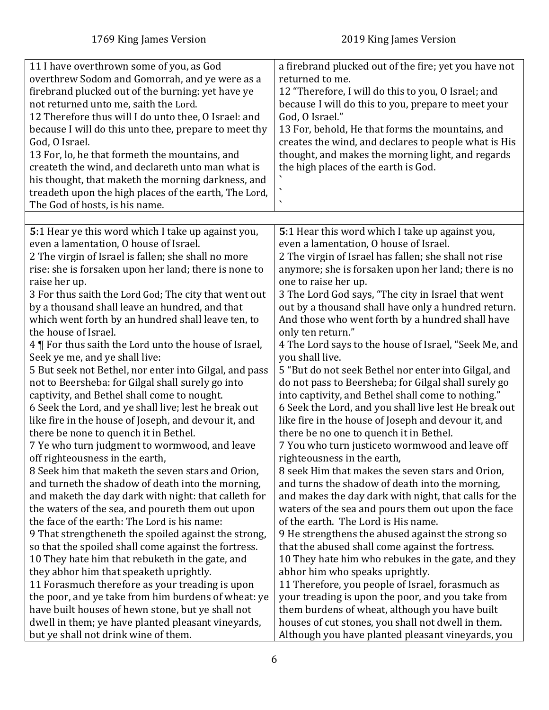<span id="page-5-0"></span>

| 11 I have overthrown some of you, as God<br>overthrew Sodom and Gomorrah, and ye were as a<br>firebrand plucked out of the burning: yet have ye<br>not returned unto me, saith the Lord.<br>12 Therefore thus will I do unto thee, O Israel: and<br>because I will do this unto thee, prepare to meet thy<br>God, O Israel.<br>13 For, lo, he that formeth the mountains, and<br>createth the wind, and declareth unto man what is<br>his thought, that maketh the morning darkness, and<br>treadeth upon the high places of the earth, The Lord,<br>The God of hosts, is his name.                                                                                                                                                                                                                                                                                                                                                                                                                                                                                                             | a firebrand plucked out of the fire; yet you have not<br>returned to me.<br>12 "Therefore, I will do this to you, O Israel; and<br>because I will do this to you, prepare to meet your<br>God, O Israel."<br>13 For, behold, He that forms the mountains, and<br>creates the wind, and declares to people what is His<br>thought, and makes the morning light, and regards<br>the high places of the earth is God.<br>$\bar{\mathbf{v}}$<br>$\overline{\phantom{a}}$                                                                                                                                                                                                                                                                                                                                                                                                                                                                                                                                                                                                                   |
|-------------------------------------------------------------------------------------------------------------------------------------------------------------------------------------------------------------------------------------------------------------------------------------------------------------------------------------------------------------------------------------------------------------------------------------------------------------------------------------------------------------------------------------------------------------------------------------------------------------------------------------------------------------------------------------------------------------------------------------------------------------------------------------------------------------------------------------------------------------------------------------------------------------------------------------------------------------------------------------------------------------------------------------------------------------------------------------------------|----------------------------------------------------------------------------------------------------------------------------------------------------------------------------------------------------------------------------------------------------------------------------------------------------------------------------------------------------------------------------------------------------------------------------------------------------------------------------------------------------------------------------------------------------------------------------------------------------------------------------------------------------------------------------------------------------------------------------------------------------------------------------------------------------------------------------------------------------------------------------------------------------------------------------------------------------------------------------------------------------------------------------------------------------------------------------------------|
|                                                                                                                                                                                                                                                                                                                                                                                                                                                                                                                                                                                                                                                                                                                                                                                                                                                                                                                                                                                                                                                                                                 |                                                                                                                                                                                                                                                                                                                                                                                                                                                                                                                                                                                                                                                                                                                                                                                                                                                                                                                                                                                                                                                                                        |
| 5:1 Hear ye this word which I take up against you,<br>even a lamentation, O house of Israel.<br>2 The virgin of Israel is fallen; she shall no more<br>rise: she is forsaken upon her land; there is none to<br>raise her up.<br>3 For thus saith the Lord God; The city that went out<br>by a thousand shall leave an hundred, and that<br>which went forth by an hundred shall leave ten, to<br>the house of Israel.<br>4   For thus saith the Lord unto the house of Israel,<br>Seek ye me, and ye shall live:<br>5 But seek not Bethel, nor enter into Gilgal, and pass<br>not to Beersheba: for Gilgal shall surely go into<br>captivity, and Bethel shall come to nought.<br>6 Seek the Lord, and ye shall live; lest he break out<br>like fire in the house of Joseph, and devour it, and<br>there be none to quench it in Bethel.<br>7 Ye who turn judgment to wormwood, and leave<br>off righteousness in the earth,<br>8 Seek him that maketh the seven stars and Orion,<br>and turneth the shadow of death into the morning,<br>and maketh the day dark with night: that calleth for | 5:1 Hear this word which I take up against you,<br>even a lamentation, O house of Israel.<br>2 The virgin of Israel has fallen; she shall not rise<br>anymore; she is forsaken upon her land; there is no<br>one to raise her up.<br>3 The Lord God says, "The city in Israel that went<br>out by a thousand shall have only a hundred return.<br>And those who went forth by a hundred shall have<br>only ten return."<br>4 The Lord says to the house of Israel, "Seek Me, and<br>you shall live.<br>5 "But do not seek Bethel nor enter into Gilgal, and<br>do not pass to Beersheba; for Gilgal shall surely go<br>into captivity, and Bethel shall come to nothing."<br>6 Seek the Lord, and you shall live lest He break out<br>like fire in the house of Joseph and devour it, and<br>there be no one to quench it in Bethel.<br>7 You who turn justiceto wormwood and leave off<br>righteousness in the earth,<br>8 seek Him that makes the seven stars and Orion,<br>and turns the shadow of death into the morning,<br>and makes the day dark with night, that calls for the |
| the waters of the sea, and poureth them out upon<br>the face of the earth: The Lord is his name:<br>9 That strengtheneth the spoiled against the strong,<br>so that the spoiled shall come against the fortress.                                                                                                                                                                                                                                                                                                                                                                                                                                                                                                                                                                                                                                                                                                                                                                                                                                                                                | waters of the sea and pours them out upon the face<br>of the earth. The Lord is His name.<br>9 He strengthens the abused against the strong so<br>that the abused shall come against the fortress.                                                                                                                                                                                                                                                                                                                                                                                                                                                                                                                                                                                                                                                                                                                                                                                                                                                                                     |
| 10 They hate him that rebuketh in the gate, and                                                                                                                                                                                                                                                                                                                                                                                                                                                                                                                                                                                                                                                                                                                                                                                                                                                                                                                                                                                                                                                 | 10 They hate him who rebukes in the gate, and they                                                                                                                                                                                                                                                                                                                                                                                                                                                                                                                                                                                                                                                                                                                                                                                                                                                                                                                                                                                                                                     |
| they abhor him that speaketh uprightly.                                                                                                                                                                                                                                                                                                                                                                                                                                                                                                                                                                                                                                                                                                                                                                                                                                                                                                                                                                                                                                                         | abhor him who speaks uprightly.                                                                                                                                                                                                                                                                                                                                                                                                                                                                                                                                                                                                                                                                                                                                                                                                                                                                                                                                                                                                                                                        |
| 11 Forasmuch therefore as your treading is upon                                                                                                                                                                                                                                                                                                                                                                                                                                                                                                                                                                                                                                                                                                                                                                                                                                                                                                                                                                                                                                                 | 11 Therefore, you people of Israel, forasmuch as                                                                                                                                                                                                                                                                                                                                                                                                                                                                                                                                                                                                                                                                                                                                                                                                                                                                                                                                                                                                                                       |
| the poor, and ye take from him burdens of wheat: ye                                                                                                                                                                                                                                                                                                                                                                                                                                                                                                                                                                                                                                                                                                                                                                                                                                                                                                                                                                                                                                             | your treading is upon the poor, and you take from                                                                                                                                                                                                                                                                                                                                                                                                                                                                                                                                                                                                                                                                                                                                                                                                                                                                                                                                                                                                                                      |
| have built houses of hewn stone, but ye shall not                                                                                                                                                                                                                                                                                                                                                                                                                                                                                                                                                                                                                                                                                                                                                                                                                                                                                                                                                                                                                                               | them burdens of wheat, although you have built                                                                                                                                                                                                                                                                                                                                                                                                                                                                                                                                                                                                                                                                                                                                                                                                                                                                                                                                                                                                                                         |
| dwell in them; ye have planted pleasant vineyards,                                                                                                                                                                                                                                                                                                                                                                                                                                                                                                                                                                                                                                                                                                                                                                                                                                                                                                                                                                                                                                              | houses of cut stones, you shall not dwell in them.                                                                                                                                                                                                                                                                                                                                                                                                                                                                                                                                                                                                                                                                                                                                                                                                                                                                                                                                                                                                                                     |
| but ye shall not drink wine of them.                                                                                                                                                                                                                                                                                                                                                                                                                                                                                                                                                                                                                                                                                                                                                                                                                                                                                                                                                                                                                                                            | Although you have planted pleasant vineyards, you                                                                                                                                                                                                                                                                                                                                                                                                                                                                                                                                                                                                                                                                                                                                                                                                                                                                                                                                                                                                                                      |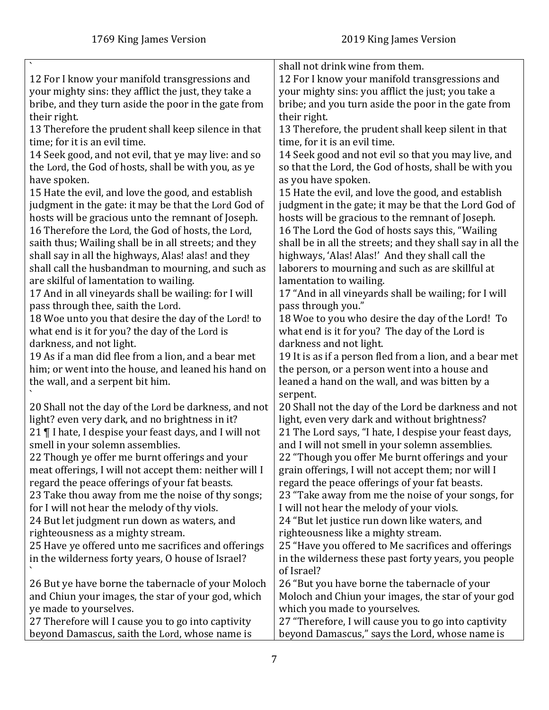|                                                        | shall not drink wine from them.                            |
|--------------------------------------------------------|------------------------------------------------------------|
| 12 For I know your manifold transgressions and         | 12 For I know your manifold transgressions and             |
| your mighty sins: they afflict the just, they take a   | your mighty sins: you afflict the just; you take a         |
| bribe, and they turn aside the poor in the gate from   | bribe; and you turn aside the poor in the gate from        |
| their right.                                           | their right.                                               |
| 13 Therefore the prudent shall keep silence in that    | 13 Therefore, the prudent shall keep silent in that        |
| time; for it is an evil time.                          | time, for it is an evil time.                              |
| 14 Seek good, and not evil, that ye may live: and so   | 14 Seek good and not evil so that you may live, and        |
| the Lord, the God of hosts, shall be with you, as ye   | so that the Lord, the God of hosts, shall be with you      |
| have spoken.                                           | as you have spoken.                                        |
| 15 Hate the evil, and love the good, and establish     | 15 Hate the evil, and love the good, and establish         |
| judgment in the gate: it may be that the Lord God of   | judgment in the gate; it may be that the Lord God of       |
| hosts will be gracious unto the remnant of Joseph.     | hosts will be gracious to the remnant of Joseph.           |
| 16 Therefore the Lord, the God of hosts, the Lord,     | 16 The Lord the God of hosts says this, "Wailing           |
| saith thus; Wailing shall be in all streets; and they  | shall be in all the streets; and they shall say in all the |
| shall say in all the highways, Alas! alas! and they    | highways, 'Alas! Alas!' And they shall call the            |
| shall call the husbandman to mourning, and such as     | laborers to mourning and such as are skillful at           |
| are skilful of lamentation to wailing.                 | lamentation to wailing.                                    |
| 17 And in all vineyards shall be wailing: for I will   | 17 "And in all vineyards shall be wailing; for I will      |
| pass through thee, saith the Lord.                     | pass through you."                                         |
| 18 Woe unto you that desire the day of the Lord! to    | 18 Woe to you who desire the day of the Lord! To           |
| what end is it for you? the day of the Lord is         | what end is it for you? The day of the Lord is             |
| darkness, and not light.                               | darkness and not light.                                    |
| 19 As if a man did flee from a lion, and a bear met    | 19 It is as if a person fled from a lion, and a bear met   |
| him; or went into the house, and leaned his hand on    | the person, or a person went into a house and              |
| the wall, and a serpent bit him.                       | leaned a hand on the wall, and was bitten by a             |
|                                                        | serpent.                                                   |
| 20 Shall not the day of the Lord be darkness, and not  | 20 Shall not the day of the Lord be darkness and not       |
| light? even very dark, and no brightness in it?        | light, even very dark and without brightness?              |
| 21   I hate, I despise your feast days, and I will not | 21 The Lord says, "I hate, I despise your feast days,      |
| smell in your solemn assemblies.                       | and I will not smell in your solemn assemblies.            |
| 22 Though ye offer me burnt offerings and your         | 22 "Though you offer Me burnt offerings and your           |
| meat offerings, I will not accept them: neither will I | grain offerings, I will not accept them; nor will I        |
| regard the peace offerings of your fat beasts.         | regard the peace offerings of your fat beasts.             |
| 23 Take thou away from me the noise of thy songs;      | 23 "Take away from me the noise of your songs, for         |
| for I will not hear the melody of thy viols.           | I will not hear the melody of your viols.                  |
| 24 But let judgment run down as waters, and            | 24 "But let justice run down like waters, and              |
| righteousness as a mighty stream.                      | righteousness like a mighty stream.                        |
| 25 Have ye offered unto me sacrifices and offerings    | 25 "Have you offered to Me sacrifices and offerings        |
|                                                        |                                                            |
| in the wilderness forty years, O house of Israel?      | in the wilderness these past forty years, you people       |
|                                                        | of Israel?                                                 |
| 26 But ye have borne the tabernacle of your Moloch     | 26 "But you have borne the tabernacle of your              |
| and Chiun your images, the star of your god, which     | Moloch and Chiun your images, the star of your god         |
| ye made to yourselves.                                 | which you made to yourselves.                              |
| 27 Therefore will I cause you to go into captivity     | 27 "Therefore, I will cause you to go into captivity       |
| beyond Damascus, saith the Lord, whose name is         | beyond Damascus," says the Lord, whose name is             |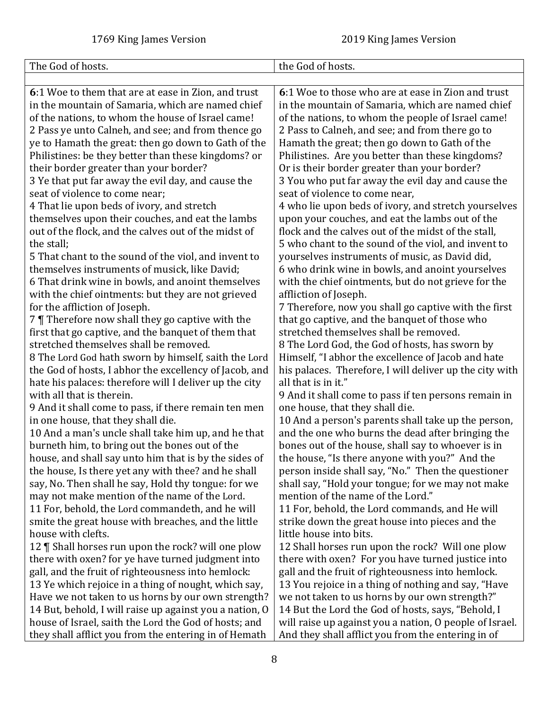<span id="page-7-0"></span>

| The God of hosts.                                                                                                                                                                                                                                                                                                                                                                                                                                                                                                                                                                                                                                                                                                                                                                                                                                                             | the God of hosts.                                                                                                                                                                                                                                                                                                                                                                                                                                                                                                                                                                                                                                                                                                                                                                                              |
|-------------------------------------------------------------------------------------------------------------------------------------------------------------------------------------------------------------------------------------------------------------------------------------------------------------------------------------------------------------------------------------------------------------------------------------------------------------------------------------------------------------------------------------------------------------------------------------------------------------------------------------------------------------------------------------------------------------------------------------------------------------------------------------------------------------------------------------------------------------------------------|----------------------------------------------------------------------------------------------------------------------------------------------------------------------------------------------------------------------------------------------------------------------------------------------------------------------------------------------------------------------------------------------------------------------------------------------------------------------------------------------------------------------------------------------------------------------------------------------------------------------------------------------------------------------------------------------------------------------------------------------------------------------------------------------------------------|
|                                                                                                                                                                                                                                                                                                                                                                                                                                                                                                                                                                                                                                                                                                                                                                                                                                                                               |                                                                                                                                                                                                                                                                                                                                                                                                                                                                                                                                                                                                                                                                                                                                                                                                                |
| 6:1 Woe to them that are at ease in Zion, and trust                                                                                                                                                                                                                                                                                                                                                                                                                                                                                                                                                                                                                                                                                                                                                                                                                           | 6:1 Woe to those who are at ease in Zion and trust                                                                                                                                                                                                                                                                                                                                                                                                                                                                                                                                                                                                                                                                                                                                                             |
| in the mountain of Samaria, which are named chief                                                                                                                                                                                                                                                                                                                                                                                                                                                                                                                                                                                                                                                                                                                                                                                                                             | in the mountain of Samaria, which are named chief                                                                                                                                                                                                                                                                                                                                                                                                                                                                                                                                                                                                                                                                                                                                                              |
| of the nations, to whom the house of Israel came!                                                                                                                                                                                                                                                                                                                                                                                                                                                                                                                                                                                                                                                                                                                                                                                                                             | of the nations, to whom the people of Israel came!                                                                                                                                                                                                                                                                                                                                                                                                                                                                                                                                                                                                                                                                                                                                                             |
| 2 Pass ye unto Calneh, and see; and from thence go                                                                                                                                                                                                                                                                                                                                                                                                                                                                                                                                                                                                                                                                                                                                                                                                                            | 2 Pass to Calneh, and see; and from there go to                                                                                                                                                                                                                                                                                                                                                                                                                                                                                                                                                                                                                                                                                                                                                                |
| ye to Hamath the great: then go down to Gath of the                                                                                                                                                                                                                                                                                                                                                                                                                                                                                                                                                                                                                                                                                                                                                                                                                           | Hamath the great; then go down to Gath of the                                                                                                                                                                                                                                                                                                                                                                                                                                                                                                                                                                                                                                                                                                                                                                  |
| Philistines: be they better than these kingdoms? or                                                                                                                                                                                                                                                                                                                                                                                                                                                                                                                                                                                                                                                                                                                                                                                                                           | Philistines. Are you better than these kingdoms?                                                                                                                                                                                                                                                                                                                                                                                                                                                                                                                                                                                                                                                                                                                                                               |
| their border greater than your border?                                                                                                                                                                                                                                                                                                                                                                                                                                                                                                                                                                                                                                                                                                                                                                                                                                        | Or is their border greater than your border?                                                                                                                                                                                                                                                                                                                                                                                                                                                                                                                                                                                                                                                                                                                                                                   |
| 3 Ye that put far away the evil day, and cause the                                                                                                                                                                                                                                                                                                                                                                                                                                                                                                                                                                                                                                                                                                                                                                                                                            | 3 You who put far away the evil day and cause the                                                                                                                                                                                                                                                                                                                                                                                                                                                                                                                                                                                                                                                                                                                                                              |
| seat of violence to come near;                                                                                                                                                                                                                                                                                                                                                                                                                                                                                                                                                                                                                                                                                                                                                                                                                                                | seat of violence to come near,                                                                                                                                                                                                                                                                                                                                                                                                                                                                                                                                                                                                                                                                                                                                                                                 |
| 4 That lie upon beds of ivory, and stretch                                                                                                                                                                                                                                                                                                                                                                                                                                                                                                                                                                                                                                                                                                                                                                                                                                    | 4 who lie upon beds of ivory, and stretch yourselves                                                                                                                                                                                                                                                                                                                                                                                                                                                                                                                                                                                                                                                                                                                                                           |
| themselves upon their couches, and eat the lambs                                                                                                                                                                                                                                                                                                                                                                                                                                                                                                                                                                                                                                                                                                                                                                                                                              | upon your couches, and eat the lambs out of the                                                                                                                                                                                                                                                                                                                                                                                                                                                                                                                                                                                                                                                                                                                                                                |
| out of the flock, and the calves out of the midst of                                                                                                                                                                                                                                                                                                                                                                                                                                                                                                                                                                                                                                                                                                                                                                                                                          | flock and the calves out of the midst of the stall,                                                                                                                                                                                                                                                                                                                                                                                                                                                                                                                                                                                                                                                                                                                                                            |
| the stall;                                                                                                                                                                                                                                                                                                                                                                                                                                                                                                                                                                                                                                                                                                                                                                                                                                                                    | 5 who chant to the sound of the viol, and invent to                                                                                                                                                                                                                                                                                                                                                                                                                                                                                                                                                                                                                                                                                                                                                            |
| 5 That chant to the sound of the viol, and invent to                                                                                                                                                                                                                                                                                                                                                                                                                                                                                                                                                                                                                                                                                                                                                                                                                          | yourselves instruments of music, as David did,                                                                                                                                                                                                                                                                                                                                                                                                                                                                                                                                                                                                                                                                                                                                                                 |
| themselves instruments of musick, like David;                                                                                                                                                                                                                                                                                                                                                                                                                                                                                                                                                                                                                                                                                                                                                                                                                                 | 6 who drink wine in bowls, and anoint yourselves                                                                                                                                                                                                                                                                                                                                                                                                                                                                                                                                                                                                                                                                                                                                                               |
| 6 That drink wine in bowls, and anoint themselves                                                                                                                                                                                                                                                                                                                                                                                                                                                                                                                                                                                                                                                                                                                                                                                                                             | with the chief ointments, but do not grieve for the                                                                                                                                                                                                                                                                                                                                                                                                                                                                                                                                                                                                                                                                                                                                                            |
| with the chief ointments: but they are not grieved                                                                                                                                                                                                                                                                                                                                                                                                                                                                                                                                                                                                                                                                                                                                                                                                                            | affliction of Joseph.                                                                                                                                                                                                                                                                                                                                                                                                                                                                                                                                                                                                                                                                                                                                                                                          |
| for the affliction of Joseph.<br>7   Therefore now shall they go captive with the                                                                                                                                                                                                                                                                                                                                                                                                                                                                                                                                                                                                                                                                                                                                                                                             | 7 Therefore, now you shall go captive with the first<br>that go captive, and the banquet of those who                                                                                                                                                                                                                                                                                                                                                                                                                                                                                                                                                                                                                                                                                                          |
| first that go captive, and the banquet of them that                                                                                                                                                                                                                                                                                                                                                                                                                                                                                                                                                                                                                                                                                                                                                                                                                           | stretched themselves shall be removed.                                                                                                                                                                                                                                                                                                                                                                                                                                                                                                                                                                                                                                                                                                                                                                         |
| stretched themselves shall be removed.                                                                                                                                                                                                                                                                                                                                                                                                                                                                                                                                                                                                                                                                                                                                                                                                                                        | 8 The Lord God, the God of hosts, has sworn by                                                                                                                                                                                                                                                                                                                                                                                                                                                                                                                                                                                                                                                                                                                                                                 |
| 8 The Lord God hath sworn by himself, saith the Lord                                                                                                                                                                                                                                                                                                                                                                                                                                                                                                                                                                                                                                                                                                                                                                                                                          | Himself, "I abhor the excellence of Jacob and hate                                                                                                                                                                                                                                                                                                                                                                                                                                                                                                                                                                                                                                                                                                                                                             |
|                                                                                                                                                                                                                                                                                                                                                                                                                                                                                                                                                                                                                                                                                                                                                                                                                                                                               |                                                                                                                                                                                                                                                                                                                                                                                                                                                                                                                                                                                                                                                                                                                                                                                                                |
|                                                                                                                                                                                                                                                                                                                                                                                                                                                                                                                                                                                                                                                                                                                                                                                                                                                                               |                                                                                                                                                                                                                                                                                                                                                                                                                                                                                                                                                                                                                                                                                                                                                                                                                |
| with all that is therein.                                                                                                                                                                                                                                                                                                                                                                                                                                                                                                                                                                                                                                                                                                                                                                                                                                                     |                                                                                                                                                                                                                                                                                                                                                                                                                                                                                                                                                                                                                                                                                                                                                                                                                |
|                                                                                                                                                                                                                                                                                                                                                                                                                                                                                                                                                                                                                                                                                                                                                                                                                                                                               | one house, that they shall die.                                                                                                                                                                                                                                                                                                                                                                                                                                                                                                                                                                                                                                                                                                                                                                                |
| in one house, that they shall die.                                                                                                                                                                                                                                                                                                                                                                                                                                                                                                                                                                                                                                                                                                                                                                                                                                            | 10 And a person's parents shall take up the person,                                                                                                                                                                                                                                                                                                                                                                                                                                                                                                                                                                                                                                                                                                                                                            |
|                                                                                                                                                                                                                                                                                                                                                                                                                                                                                                                                                                                                                                                                                                                                                                                                                                                                               | and the one who burns the dead after bringing the                                                                                                                                                                                                                                                                                                                                                                                                                                                                                                                                                                                                                                                                                                                                                              |
| burneth him, to bring out the bones out of the                                                                                                                                                                                                                                                                                                                                                                                                                                                                                                                                                                                                                                                                                                                                                                                                                                | bones out of the house, shall say to whoever is in                                                                                                                                                                                                                                                                                                                                                                                                                                                                                                                                                                                                                                                                                                                                                             |
| house, and shall say unto him that is by the sides of                                                                                                                                                                                                                                                                                                                                                                                                                                                                                                                                                                                                                                                                                                                                                                                                                         | the house, "Is there anyone with you?" And the                                                                                                                                                                                                                                                                                                                                                                                                                                                                                                                                                                                                                                                                                                                                                                 |
| the house, Is there yet any with thee? and he shall                                                                                                                                                                                                                                                                                                                                                                                                                                                                                                                                                                                                                                                                                                                                                                                                                           | person inside shall say, "No." Then the questioner                                                                                                                                                                                                                                                                                                                                                                                                                                                                                                                                                                                                                                                                                                                                                             |
| say, No. Then shall he say, Hold thy tongue: for we                                                                                                                                                                                                                                                                                                                                                                                                                                                                                                                                                                                                                                                                                                                                                                                                                           |                                                                                                                                                                                                                                                                                                                                                                                                                                                                                                                                                                                                                                                                                                                                                                                                                |
|                                                                                                                                                                                                                                                                                                                                                                                                                                                                                                                                                                                                                                                                                                                                                                                                                                                                               |                                                                                                                                                                                                                                                                                                                                                                                                                                                                                                                                                                                                                                                                                                                                                                                                                |
|                                                                                                                                                                                                                                                                                                                                                                                                                                                                                                                                                                                                                                                                                                                                                                                                                                                                               |                                                                                                                                                                                                                                                                                                                                                                                                                                                                                                                                                                                                                                                                                                                                                                                                                |
|                                                                                                                                                                                                                                                                                                                                                                                                                                                                                                                                                                                                                                                                                                                                                                                                                                                                               |                                                                                                                                                                                                                                                                                                                                                                                                                                                                                                                                                                                                                                                                                                                                                                                                                |
|                                                                                                                                                                                                                                                                                                                                                                                                                                                                                                                                                                                                                                                                                                                                                                                                                                                                               |                                                                                                                                                                                                                                                                                                                                                                                                                                                                                                                                                                                                                                                                                                                                                                                                                |
|                                                                                                                                                                                                                                                                                                                                                                                                                                                                                                                                                                                                                                                                                                                                                                                                                                                                               |                                                                                                                                                                                                                                                                                                                                                                                                                                                                                                                                                                                                                                                                                                                                                                                                                |
|                                                                                                                                                                                                                                                                                                                                                                                                                                                                                                                                                                                                                                                                                                                                                                                                                                                                               |                                                                                                                                                                                                                                                                                                                                                                                                                                                                                                                                                                                                                                                                                                                                                                                                                |
|                                                                                                                                                                                                                                                                                                                                                                                                                                                                                                                                                                                                                                                                                                                                                                                                                                                                               |                                                                                                                                                                                                                                                                                                                                                                                                                                                                                                                                                                                                                                                                                                                                                                                                                |
|                                                                                                                                                                                                                                                                                                                                                                                                                                                                                                                                                                                                                                                                                                                                                                                                                                                                               |                                                                                                                                                                                                                                                                                                                                                                                                                                                                                                                                                                                                                                                                                                                                                                                                                |
|                                                                                                                                                                                                                                                                                                                                                                                                                                                                                                                                                                                                                                                                                                                                                                                                                                                                               |                                                                                                                                                                                                                                                                                                                                                                                                                                                                                                                                                                                                                                                                                                                                                                                                                |
|                                                                                                                                                                                                                                                                                                                                                                                                                                                                                                                                                                                                                                                                                                                                                                                                                                                                               |                                                                                                                                                                                                                                                                                                                                                                                                                                                                                                                                                                                                                                                                                                                                                                                                                |
|                                                                                                                                                                                                                                                                                                                                                                                                                                                                                                                                                                                                                                                                                                                                                                                                                                                                               |                                                                                                                                                                                                                                                                                                                                                                                                                                                                                                                                                                                                                                                                                                                                                                                                                |
| the God of hosts, I abhor the excellency of Jacob, and<br>hate his palaces: therefore will I deliver up the city<br>9 And it shall come to pass, if there remain ten men<br>10 And a man's uncle shall take him up, and he that<br>may not make mention of the name of the Lord.<br>11 For, behold, the Lord commandeth, and he will<br>smite the great house with breaches, and the little<br>house with clefts.<br>12   Shall horses run upon the rock? will one plow<br>there with oxen? for ye have turned judgment into<br>gall, and the fruit of righteousness into hemlock:<br>13 Ye which rejoice in a thing of nought, which say,<br>Have we not taken to us horns by our own strength?<br>14 But, behold, I will raise up against you a nation, O<br>house of Israel, saith the Lord the God of hosts; and<br>they shall afflict you from the entering in of Hemath | his palaces. Therefore, I will deliver up the city with<br>all that is in it."<br>9 And it shall come to pass if ten persons remain in<br>shall say, "Hold your tongue; for we may not make<br>mention of the name of the Lord."<br>11 For, behold, the Lord commands, and He will<br>strike down the great house into pieces and the<br>little house into bits.<br>12 Shall horses run upon the rock? Will one plow<br>there with oxen? For you have turned justice into<br>gall and the fruit of righteousness into hemlock.<br>13 You rejoice in a thing of nothing and say, "Have<br>we not taken to us horns by our own strength?"<br>14 But the Lord the God of hosts, says, "Behold, I<br>will raise up against you a nation, O people of Israel.<br>And they shall afflict you from the entering in of |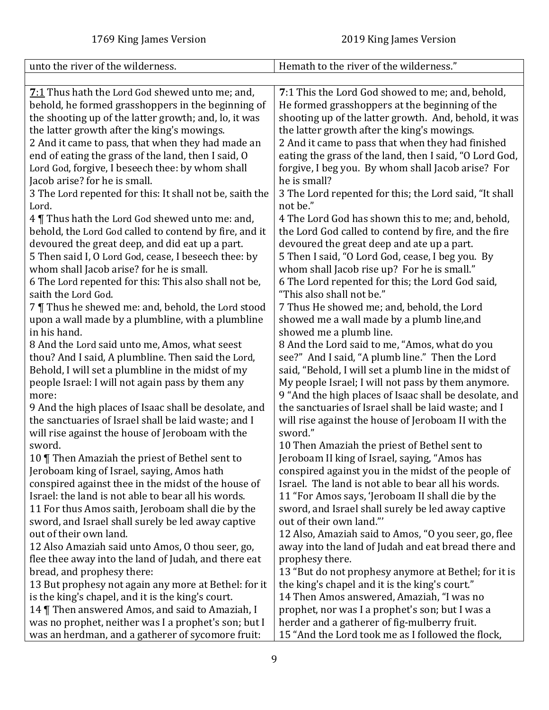<span id="page-8-0"></span>

| unto the river of the wilderness.                                                                                                                                                                                                                                                                                                | Hemath to the river of the wilderness."                                                                                                                                                                                                                                                                                    |
|----------------------------------------------------------------------------------------------------------------------------------------------------------------------------------------------------------------------------------------------------------------------------------------------------------------------------------|----------------------------------------------------------------------------------------------------------------------------------------------------------------------------------------------------------------------------------------------------------------------------------------------------------------------------|
|                                                                                                                                                                                                                                                                                                                                  |                                                                                                                                                                                                                                                                                                                            |
| <b>7:1</b> Thus hath the Lord God shewed unto me; and,<br>behold, he formed grasshoppers in the beginning of<br>the shooting up of the latter growth; and, lo, it was<br>the latter growth after the king's mowings.<br>2 And it came to pass, that when they had made an<br>end of eating the grass of the land, then I said, O | 7:1 This the Lord God showed to me; and, behold,<br>He formed grasshoppers at the beginning of the<br>shooting up of the latter growth. And, behold, it was<br>the latter growth after the king's mowings.<br>2 And it came to pass that when they had finished<br>eating the grass of the land, then I said, "O Lord God, |
| Lord God, forgive, I beseech thee: by whom shall                                                                                                                                                                                                                                                                                 | forgive, I beg you. By whom shall Jacob arise? For                                                                                                                                                                                                                                                                         |
| Jacob arise? for he is small.                                                                                                                                                                                                                                                                                                    | he is small?                                                                                                                                                                                                                                                                                                               |
| 3 The Lord repented for this: It shall not be, saith the<br>Lord.                                                                                                                                                                                                                                                                | 3 The Lord repented for this; the Lord said, "It shall<br>not be."                                                                                                                                                                                                                                                         |
| 4 Thus hath the Lord God shewed unto me: and,                                                                                                                                                                                                                                                                                    | 4 The Lord God has shown this to me; and, behold,                                                                                                                                                                                                                                                                          |
| behold, the Lord God called to contend by fire, and it                                                                                                                                                                                                                                                                           | the Lord God called to contend by fire, and the fire                                                                                                                                                                                                                                                                       |
| devoured the great deep, and did eat up a part.                                                                                                                                                                                                                                                                                  | devoured the great deep and ate up a part.                                                                                                                                                                                                                                                                                 |
| 5 Then said I, O Lord God, cease, I beseech thee: by                                                                                                                                                                                                                                                                             | 5 Then I said, "O Lord God, cease, I beg you. By                                                                                                                                                                                                                                                                           |
| whom shall Jacob arise? for he is small.                                                                                                                                                                                                                                                                                         | whom shall Jacob rise up? For he is small."                                                                                                                                                                                                                                                                                |
| 6 The Lord repented for this: This also shall not be,<br>saith the Lord God.                                                                                                                                                                                                                                                     | 6 The Lord repented for this; the Lord God said,<br>"This also shall not be."                                                                                                                                                                                                                                              |
| 7   Thus he shewed me: and, behold, the Lord stood                                                                                                                                                                                                                                                                               | 7 Thus He showed me; and, behold, the Lord                                                                                                                                                                                                                                                                                 |
| upon a wall made by a plumbline, with a plumbline                                                                                                                                                                                                                                                                                | showed me a wall made by a plumb line, and                                                                                                                                                                                                                                                                                 |
| in his hand.                                                                                                                                                                                                                                                                                                                     | showed me a plumb line.                                                                                                                                                                                                                                                                                                    |
| 8 And the Lord said unto me, Amos, what seest                                                                                                                                                                                                                                                                                    | 8 And the Lord said to me, "Amos, what do you                                                                                                                                                                                                                                                                              |
| thou? And I said, A plumbline. Then said the Lord,                                                                                                                                                                                                                                                                               | see?" And I said, "A plumb line." Then the Lord                                                                                                                                                                                                                                                                            |
| Behold, I will set a plumbline in the midst of my                                                                                                                                                                                                                                                                                | said, "Behold, I will set a plumb line in the midst of                                                                                                                                                                                                                                                                     |
| people Israel: I will not again pass by them any<br>more:                                                                                                                                                                                                                                                                        | My people Israel; I will not pass by them anymore.<br>9 "And the high places of Isaac shall be desolate, and                                                                                                                                                                                                               |
| 9 And the high places of Isaac shall be desolate, and                                                                                                                                                                                                                                                                            | the sanctuaries of Israel shall be laid waste; and I                                                                                                                                                                                                                                                                       |
| the sanctuaries of Israel shall be laid waste; and I                                                                                                                                                                                                                                                                             | will rise against the house of Jeroboam II with the                                                                                                                                                                                                                                                                        |
| will rise against the house of Jeroboam with the                                                                                                                                                                                                                                                                                 | sword."                                                                                                                                                                                                                                                                                                                    |
| sword.                                                                                                                                                                                                                                                                                                                           | 10 Then Amaziah the priest of Bethel sent to                                                                                                                                                                                                                                                                               |
| 10   Then Amaziah the priest of Bethel sent to                                                                                                                                                                                                                                                                                   | Jeroboam II king of Israel, saying, "Amos has                                                                                                                                                                                                                                                                              |
| Jeroboam king of Israel, saying, Amos hath                                                                                                                                                                                                                                                                                       | conspired against you in the midst of the people of                                                                                                                                                                                                                                                                        |
| conspired against thee in the midst of the house of<br>Israel: the land is not able to bear all his words.                                                                                                                                                                                                                       | Israel. The land is not able to bear all his words.<br>11 "For Amos says, 'Jeroboam II shall die by the                                                                                                                                                                                                                    |
| 11 For thus Amos saith, Jeroboam shall die by the                                                                                                                                                                                                                                                                                | sword, and Israel shall surely be led away captive                                                                                                                                                                                                                                                                         |
| sword, and Israel shall surely be led away captive                                                                                                                                                                                                                                                                               | out of their own land."                                                                                                                                                                                                                                                                                                    |
| out of their own land.                                                                                                                                                                                                                                                                                                           | 12 Also, Amaziah said to Amos, "O you seer, go, flee                                                                                                                                                                                                                                                                       |
| 12 Also Amaziah said unto Amos, O thou seer, go,                                                                                                                                                                                                                                                                                 | away into the land of Judah and eat bread there and                                                                                                                                                                                                                                                                        |
| flee thee away into the land of Judah, and there eat                                                                                                                                                                                                                                                                             | prophesy there.                                                                                                                                                                                                                                                                                                            |
| bread, and prophesy there:                                                                                                                                                                                                                                                                                                       | 13 "But do not prophesy anymore at Bethel; for it is                                                                                                                                                                                                                                                                       |
| 13 But prophesy not again any more at Bethel: for it                                                                                                                                                                                                                                                                             | the king's chapel and it is the king's court."                                                                                                                                                                                                                                                                             |
| is the king's chapel, and it is the king's court.                                                                                                                                                                                                                                                                                | 14 Then Amos answered, Amaziah, "I was no                                                                                                                                                                                                                                                                                  |
| 14   Then answered Amos, and said to Amaziah, I<br>was no prophet, neither was I a prophet's son; but I                                                                                                                                                                                                                          | prophet, nor was I a prophet's son; but I was a<br>herder and a gatherer of fig-mulberry fruit.                                                                                                                                                                                                                            |
| was an herdman, and a gatherer of sycomore fruit:                                                                                                                                                                                                                                                                                | 15 "And the Lord took me as I followed the flock,                                                                                                                                                                                                                                                                          |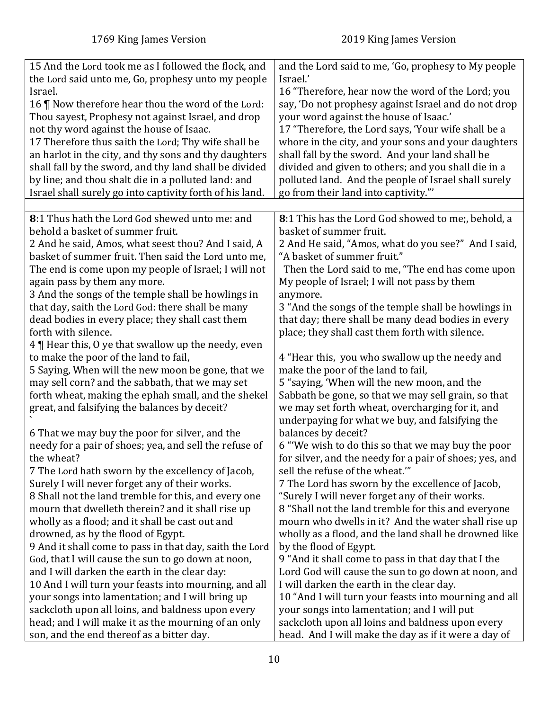<span id="page-9-0"></span>

| 15 And the Lord took me as I followed the flock, and<br>the Lord said unto me, Go, prophesy unto my people | and the Lord said to me, 'Go, prophesy to My people<br>Israel.'                      |
|------------------------------------------------------------------------------------------------------------|--------------------------------------------------------------------------------------|
| Israel.                                                                                                    | 16 "Therefore, hear now the word of the Lord; you                                    |
|                                                                                                            |                                                                                      |
| 16   Now therefore hear thou the word of the Lord:                                                         | say, 'Do not prophesy against Israel and do not drop                                 |
| Thou sayest, Prophesy not against Israel, and drop                                                         | your word against the house of Isaac.'                                               |
| not thy word against the house of Isaac.                                                                   | 17 "Therefore, the Lord says, 'Your wife shall be a                                  |
| 17 Therefore thus saith the Lord; Thy wife shall be                                                        | whore in the city, and your sons and your daughters                                  |
| an harlot in the city, and thy sons and thy daughters                                                      | shall fall by the sword. And your land shall be                                      |
| shall fall by the sword, and thy land shall be divided                                                     | divided and given to others; and you shall die in a                                  |
| by line; and thou shalt die in a polluted land: and                                                        | polluted land. And the people of Israel shall surely                                 |
| Israel shall surely go into captivity forth of his land.                                                   | go from their land into captivity."                                                  |
|                                                                                                            |                                                                                      |
| 8:1 Thus hath the Lord God shewed unto me: and                                                             | 8:1 This has the Lord God showed to me;, behold, a                                   |
| behold a basket of summer fruit.                                                                           | basket of summer fruit.                                                              |
| 2 And he said, Amos, what seest thou? And I said, A                                                        | 2 And He said, "Amos, what do you see?" And I said,                                  |
| basket of summer fruit. Then said the Lord unto me,                                                        | "A basket of summer fruit."                                                          |
| The end is come upon my people of Israel; I will not                                                       | Then the Lord said to me, "The end has come upon                                     |
| again pass by them any more.                                                                               | My people of Israel; I will not pass by them                                         |
| 3 And the songs of the temple shall be howlings in                                                         | anymore.                                                                             |
| that day, saith the Lord God: there shall be many                                                          | 3 "And the songs of the temple shall be howlings in                                  |
| dead bodies in every place; they shall cast them                                                           | that day; there shall be many dead bodies in every                                   |
| forth with silence.                                                                                        | place; they shall cast them forth with silence.                                      |
| 4   Hear this, O ye that swallow up the needy, even                                                        |                                                                                      |
| to make the poor of the land to fail,<br>5 Saying, When will the new moon be gone, that we                 | 4 "Hear this, you who swallow up the needy and<br>make the poor of the land to fail, |
| may sell corn? and the sabbath, that we may set                                                            | 5 "saying, 'When will the new moon, and the                                          |
| forth wheat, making the ephah small, and the shekel                                                        | Sabbath be gone, so that we may sell grain, so that                                  |
| great, and falsifying the balances by deceit?                                                              | we may set forth wheat, overcharging for it, and                                     |
|                                                                                                            | underpaying for what we buy, and falsifying the                                      |
| 6 That we may buy the poor for silver, and the                                                             | balances by deceit?                                                                  |
| needy for a pair of shoes; yea, and sell the refuse of                                                     | 6 "We wish to do this so that we may buy the poor                                    |
| the wheat?                                                                                                 | for silver, and the needy for a pair of shoes; yes, and                              |
| 7 The Lord hath sworn by the excellency of Jacob,                                                          | sell the refuse of the wheat."                                                       |
| Surely I will never forget any of their works.                                                             | 7 The Lord has sworn by the excellence of Jacob,                                     |
| 8 Shall not the land tremble for this, and every one                                                       | "Surely I will never forget any of their works.                                      |
| mourn that dwelleth therein? and it shall rise up                                                          | 8 "Shall not the land tremble for this and everyone                                  |
| wholly as a flood; and it shall be cast out and                                                            | mourn who dwells in it? And the water shall rise up                                  |
| drowned, as by the flood of Egypt.                                                                         | wholly as a flood, and the land shall be drowned like                                |
| 9 And it shall come to pass in that day, saith the Lord                                                    | by the flood of Egypt.                                                               |
| God, that I will cause the sun to go down at noon,                                                         | 9 "And it shall come to pass in that day that I the                                  |
| and I will darken the earth in the clear day:                                                              | Lord God will cause the sun to go down at noon, and                                  |
| 10 And I will turn your feasts into mourning, and all                                                      | I will darken the earth in the clear day.                                            |
| your songs into lamentation; and I will bring up                                                           | 10 "And I will turn your feasts into mourning and all                                |
| sackcloth upon all loins, and baldness upon every                                                          | your songs into lamentation; and I will put                                          |
| head; and I will make it as the mourning of an only                                                        | sackcloth upon all loins and baldness upon every                                     |
| son, and the end thereof as a bitter day.                                                                  | head. And I will make the day as if it were a day of                                 |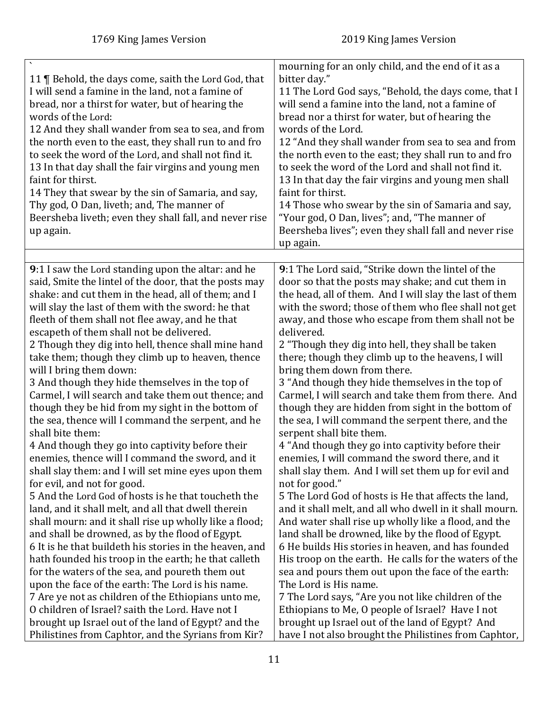<span id="page-10-0"></span>

| 11   Behold, the days come, saith the Lord God, that<br>I will send a famine in the land, not a famine of<br>bread, nor a thirst for water, but of hearing the<br>words of the Lord:<br>12 And they shall wander from sea to sea, and from<br>the north even to the east, they shall run to and fro<br>to seek the word of the Lord, and shall not find it.<br>13 In that day shall the fair virgins and young men<br>faint for thirst.<br>14 They that swear by the sin of Samaria, and say,<br>Thy god, O Dan, liveth; and, The manner of<br>Beersheba liveth; even they shall fall, and never rise<br>up again. | mourning for an only child, and the end of it as a<br>bitter day."<br>11 The Lord God says, "Behold, the days come, that I<br>will send a famine into the land, not a famine of<br>bread nor a thirst for water, but of hearing the<br>words of the Lord.<br>12 "And they shall wander from sea to sea and from<br>the north even to the east; they shall run to and fro<br>to seek the word of the Lord and shall not find it.<br>13 In that day the fair virgins and young men shall<br>faint for thirst.<br>14 Those who swear by the sin of Samaria and say,<br>"Your god, O Dan, lives"; and, "The manner of<br>Beersheba lives"; even they shall fall and never rise<br>up again. |
|--------------------------------------------------------------------------------------------------------------------------------------------------------------------------------------------------------------------------------------------------------------------------------------------------------------------------------------------------------------------------------------------------------------------------------------------------------------------------------------------------------------------------------------------------------------------------------------------------------------------|-----------------------------------------------------------------------------------------------------------------------------------------------------------------------------------------------------------------------------------------------------------------------------------------------------------------------------------------------------------------------------------------------------------------------------------------------------------------------------------------------------------------------------------------------------------------------------------------------------------------------------------------------------------------------------------------|
| <b>9</b> :1 I saw the Lord standing upon the altar: and he                                                                                                                                                                                                                                                                                                                                                                                                                                                                                                                                                         | 9:1 The Lord said, "Strike down the lintel of the                                                                                                                                                                                                                                                                                                                                                                                                                                                                                                                                                                                                                                       |
| said, Smite the lintel of the door, that the posts may                                                                                                                                                                                                                                                                                                                                                                                                                                                                                                                                                             | door so that the posts may shake; and cut them in                                                                                                                                                                                                                                                                                                                                                                                                                                                                                                                                                                                                                                       |
| shake: and cut them in the head, all of them; and I                                                                                                                                                                                                                                                                                                                                                                                                                                                                                                                                                                | the head, all of them. And I will slay the last of them                                                                                                                                                                                                                                                                                                                                                                                                                                                                                                                                                                                                                                 |
| will slay the last of them with the sword: he that                                                                                                                                                                                                                                                                                                                                                                                                                                                                                                                                                                 | with the sword; those of them who flee shall not get                                                                                                                                                                                                                                                                                                                                                                                                                                                                                                                                                                                                                                    |
| fleeth of them shall not flee away, and he that                                                                                                                                                                                                                                                                                                                                                                                                                                                                                                                                                                    | away, and those who escape from them shall not be                                                                                                                                                                                                                                                                                                                                                                                                                                                                                                                                                                                                                                       |
| escapeth of them shall not be delivered.                                                                                                                                                                                                                                                                                                                                                                                                                                                                                                                                                                           | delivered.                                                                                                                                                                                                                                                                                                                                                                                                                                                                                                                                                                                                                                                                              |
| 2 Though they dig into hell, thence shall mine hand                                                                                                                                                                                                                                                                                                                                                                                                                                                                                                                                                                | 2 "Though they dig into hell, they shall be taken                                                                                                                                                                                                                                                                                                                                                                                                                                                                                                                                                                                                                                       |
| take them; though they climb up to heaven, thence                                                                                                                                                                                                                                                                                                                                                                                                                                                                                                                                                                  | there; though they climb up to the heavens, I will                                                                                                                                                                                                                                                                                                                                                                                                                                                                                                                                                                                                                                      |
| will I bring them down:                                                                                                                                                                                                                                                                                                                                                                                                                                                                                                                                                                                            | bring them down from there.                                                                                                                                                                                                                                                                                                                                                                                                                                                                                                                                                                                                                                                             |
| 3 And though they hide themselves in the top of                                                                                                                                                                                                                                                                                                                                                                                                                                                                                                                                                                    | 3 "And though they hide themselves in the top of                                                                                                                                                                                                                                                                                                                                                                                                                                                                                                                                                                                                                                        |
| Carmel, I will search and take them out thence; and                                                                                                                                                                                                                                                                                                                                                                                                                                                                                                                                                                | Carmel, I will search and take them from there. And                                                                                                                                                                                                                                                                                                                                                                                                                                                                                                                                                                                                                                     |
| though they be hid from my sight in the bottom of                                                                                                                                                                                                                                                                                                                                                                                                                                                                                                                                                                  | though they are hidden from sight in the bottom of                                                                                                                                                                                                                                                                                                                                                                                                                                                                                                                                                                                                                                      |
| the sea, thence will I command the serpent, and he                                                                                                                                                                                                                                                                                                                                                                                                                                                                                                                                                                 | the sea, I will command the serpent there, and the                                                                                                                                                                                                                                                                                                                                                                                                                                                                                                                                                                                                                                      |
| shall bite them:                                                                                                                                                                                                                                                                                                                                                                                                                                                                                                                                                                                                   | serpent shall bite them.                                                                                                                                                                                                                                                                                                                                                                                                                                                                                                                                                                                                                                                                |
| 4 And though they go into captivity before their                                                                                                                                                                                                                                                                                                                                                                                                                                                                                                                                                                   | 4 "And though they go into captivity before their                                                                                                                                                                                                                                                                                                                                                                                                                                                                                                                                                                                                                                       |
| enemies, thence will I command the sword, and it                                                                                                                                                                                                                                                                                                                                                                                                                                                                                                                                                                   | enemies, I will command the sword there, and it                                                                                                                                                                                                                                                                                                                                                                                                                                                                                                                                                                                                                                         |
| shall slay them: and I will set mine eyes upon them                                                                                                                                                                                                                                                                                                                                                                                                                                                                                                                                                                | shall slay them. And I will set them up for evil and                                                                                                                                                                                                                                                                                                                                                                                                                                                                                                                                                                                                                                    |
| for evil, and not for good.                                                                                                                                                                                                                                                                                                                                                                                                                                                                                                                                                                                        | not for good."                                                                                                                                                                                                                                                                                                                                                                                                                                                                                                                                                                                                                                                                          |
| 5 And the Lord God of hosts is he that toucheth the                                                                                                                                                                                                                                                                                                                                                                                                                                                                                                                                                                | 5 The Lord God of hosts is He that affects the land,                                                                                                                                                                                                                                                                                                                                                                                                                                                                                                                                                                                                                                    |
| land, and it shall melt, and all that dwell therein                                                                                                                                                                                                                                                                                                                                                                                                                                                                                                                                                                | and it shall melt, and all who dwell in it shall mourn.                                                                                                                                                                                                                                                                                                                                                                                                                                                                                                                                                                                                                                 |
| shall mourn: and it shall rise up wholly like a flood;                                                                                                                                                                                                                                                                                                                                                                                                                                                                                                                                                             | And water shall rise up wholly like a flood, and the                                                                                                                                                                                                                                                                                                                                                                                                                                                                                                                                                                                                                                    |
| and shall be drowned, as by the flood of Egypt.                                                                                                                                                                                                                                                                                                                                                                                                                                                                                                                                                                    | land shall be drowned, like by the flood of Egypt.                                                                                                                                                                                                                                                                                                                                                                                                                                                                                                                                                                                                                                      |
| 6 It is he that buildeth his stories in the heaven, and                                                                                                                                                                                                                                                                                                                                                                                                                                                                                                                                                            | 6 He builds His stories in heaven, and has founded                                                                                                                                                                                                                                                                                                                                                                                                                                                                                                                                                                                                                                      |
| hath founded his troop in the earth; he that calleth                                                                                                                                                                                                                                                                                                                                                                                                                                                                                                                                                               | His troop on the earth. He calls for the waters of the                                                                                                                                                                                                                                                                                                                                                                                                                                                                                                                                                                                                                                  |
| for the waters of the sea, and poureth them out                                                                                                                                                                                                                                                                                                                                                                                                                                                                                                                                                                    | sea and pours them out upon the face of the earth:                                                                                                                                                                                                                                                                                                                                                                                                                                                                                                                                                                                                                                      |
| upon the face of the earth: The Lord is his name.                                                                                                                                                                                                                                                                                                                                                                                                                                                                                                                                                                  | The Lord is His name.                                                                                                                                                                                                                                                                                                                                                                                                                                                                                                                                                                                                                                                                   |
| 7 Are ye not as children of the Ethiopians unto me,                                                                                                                                                                                                                                                                                                                                                                                                                                                                                                                                                                | 7 The Lord says, "Are you not like children of the                                                                                                                                                                                                                                                                                                                                                                                                                                                                                                                                                                                                                                      |
| O children of Israel? saith the Lord. Have not I                                                                                                                                                                                                                                                                                                                                                                                                                                                                                                                                                                   | Ethiopians to Me, O people of Israel? Have I not                                                                                                                                                                                                                                                                                                                                                                                                                                                                                                                                                                                                                                        |
| brought up Israel out of the land of Egypt? and the                                                                                                                                                                                                                                                                                                                                                                                                                                                                                                                                                                | brought up Israel out of the land of Egypt? And                                                                                                                                                                                                                                                                                                                                                                                                                                                                                                                                                                                                                                         |
| Philistines from Caphtor, and the Syrians from Kir?                                                                                                                                                                                                                                                                                                                                                                                                                                                                                                                                                                | have I not also brought the Philistines from Caphtor,                                                                                                                                                                                                                                                                                                                                                                                                                                                                                                                                                                                                                                   |